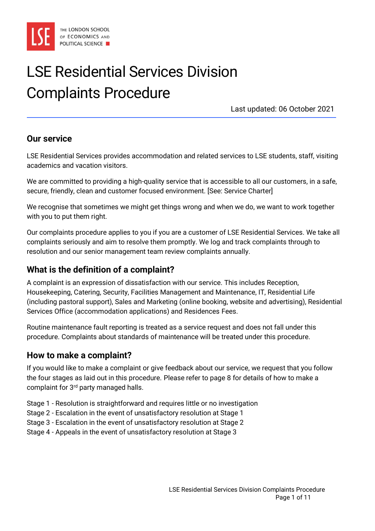

# LSE Residential Services Division Complaints Procedure

Last updated: 06 October 2021

#### **Our service**

LSE Residential Services provides accommodation and related services to LSE students, staff, visiting academics and vacation visitors.

We are committed to providing a high-quality service that is accessible to all our customers, in a safe, secure, friendly, clean and customer focused environment. [See: Service Charter]

We recognise that sometimes we might get things wrong and when we do, we want to work together with you to put them right.

Our complaints procedure applies to you if you are a customer of LSE Residential Services. We take all complaints seriously and aim to resolve them promptly. We log and track complaints through to resolution and our senior management team review complaints annually.

### **What is the definition of a complaint?**

A complaint is an expression of dissatisfaction with our service. This includes Reception, Housekeeping, Catering, Security, Facilities Management and Maintenance, IT, Residential Life (including pastoral support), Sales and Marketing (online booking, website and advertising), Residential Services Office (accommodation applications) and Residences Fees.

Routine maintenance fault reporting is treated as a service request and does not fall under this procedure. Complaints about standards of maintenance will be treated under this procedure.

#### **How to make a complaint?**

If you would like to make a complaint or give feedback about our service, we request that you follow the four stages as laid out in this procedure. Please refer to page 8 for details of how to make a complaint for 3rd party managed halls.

- Stage 1 Resolution is straightforward and requires little or no investigation
- Stage 2 Escalation in the event of unsatisfactory resolution at Stage 1
- Stage 3 Escalation in the event of unsatisfactory resolution at Stage 2
- Stage 4 Appeals in the event of unsatisfactory resolution at Stage 3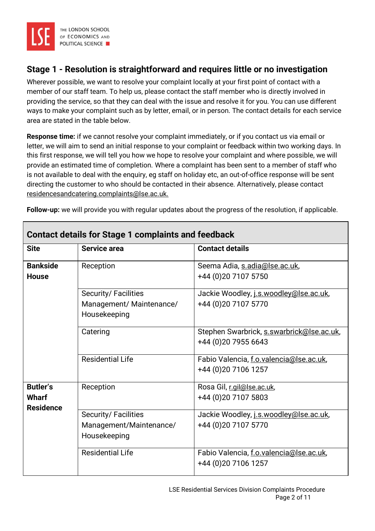

# **Stage 1 - Resolution is straightforward and requires little or no investigation**

Wherever possible, we want to resolve your complaint locally at your first point of contact with a member of our staff team. To help us, please contact the staff member who is directly involved in providing the service, so that they can deal with the issue and resolve it for you. You can use different ways to make your complaint such as by letter, email, or in person. The contact details for each service area are stated in the table below.

**Response time:** if we cannot resolve your complaint immediately, or if you contact us via email or letter, we will aim to send an initial response to your complaint or feedback within two working days. In this first response, we will tell you how we hope to resolve your complaint and where possible, we will provide an estimated time of completion. Where a complaint has been sent to a member of staff who is not available to deal with the enquiry, eg staff on holiday etc, an out-of-office response will be sent directing the customer to who should be contacted in their absence. Alternatively, please contact residencesandcatering.complaints@lse.ac.uk.

**Follow-up:** we will provide you with regular updates about the progress of the resolution, if applicable.

| Contact details for Stage 1 complaints and reedback |                                                                 |                                                                   |
|-----------------------------------------------------|-----------------------------------------------------------------|-------------------------------------------------------------------|
| <b>Site</b>                                         | Service area                                                    | <b>Contact details</b>                                            |
| <b>Bankside</b><br><b>House</b>                     | Reception                                                       | Seema Adia, s.adia@lse.ac.uk,<br>+44 (0) 20 7107 5750             |
|                                                     | Security/Facilities<br>Management/ Maintenance/<br>Housekeeping | Jackie Woodley, j.s.woodley@lse.ac.uk,<br>+44 (0) 20 7107 5770    |
|                                                     | Catering                                                        | Stephen Swarbrick, s.swarbrick@lse.ac.uk,<br>+44 (0) 20 7955 6643 |
|                                                     | <b>Residential Life</b>                                         | Fabio Valencia, f.o.valencia@lse.ac.uk,<br>+44 (0) 20 7106 1257   |
| <b>Butler's</b><br><b>Wharf</b><br><b>Residence</b> | Reception                                                       | Rosa Gil, r.gil@lse.ac.uk,<br>+44 (0) 20 7107 5803                |
|                                                     | Security/Facilities<br>Management/Maintenance/<br>Housekeeping  | Jackie Woodley, j.s.woodley@lse.ac.uk,<br>+44 (0) 20 7107 5770    |
|                                                     | <b>Residential Life</b>                                         | Fabio Valencia, f.o.valencia@lse.ac.uk,<br>+44 (0) 20 7106 1257   |

## **Contact details for Stage 1 complaints and feedback**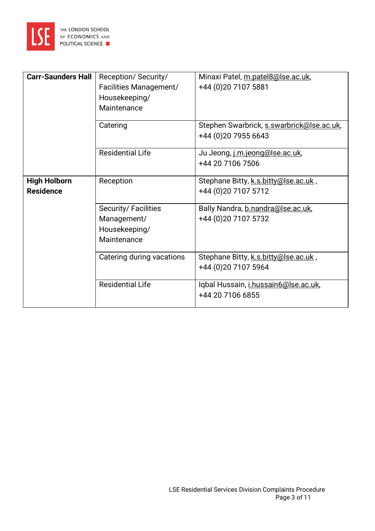

| <b>Carr-Saunders Hall</b> | Reception/ Security/      | Minaxi Patel, m.patel8@lse.ac.uk,         |
|---------------------------|---------------------------|-------------------------------------------|
|                           | Facilities Management/    | +44 (0) 20 7107 5881                      |
|                           | Housekeeping/             |                                           |
|                           | Maintenance               |                                           |
|                           | Catering                  | Stephen Swarbrick, s.swarbrick@lse.ac.uk, |
|                           |                           | +44 (0) 20 7955 6643                      |
|                           | <b>Residential Life</b>   | Ju Jeong, j.m.jeong@lse.ac.uk,            |
|                           |                           | +44 20 7106 7506                          |
| <b>High Holborn</b>       | Reception                 | Stephane Bitty, k.s. bitty@lse.ac.uk,     |
| <b>Residence</b>          |                           | +44 (0) 20 7107 5712                      |
|                           | Security/Facilities       | Bally Nandra, b.nandra@lse.ac.uk,         |
|                           | Management/               | +44 (0) 20 7107 5732                      |
|                           | Housekeeping/             |                                           |
|                           | Maintenance               |                                           |
|                           | Catering during vacations | Stephane Bitty, k.s. bitty@lse.ac.uk,     |
|                           |                           | +44 (0) 20 7107 5964                      |
|                           | <b>Residential Life</b>   | Iqbal Hussain, i.hussain6@lse.ac.uk,      |
|                           |                           | +44 20 7106 6855                          |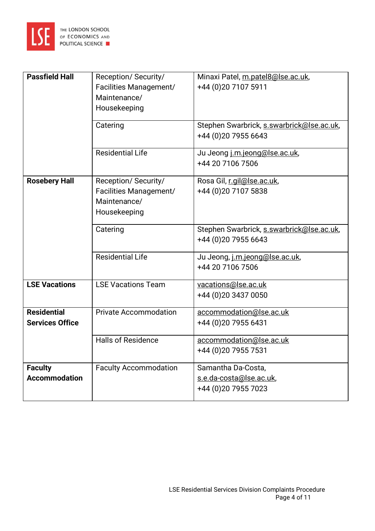

| <b>Passfield Hall</b>  | Reception/ Security/          | Minaxi Patel, m.patel8@lse.ac.uk,         |
|------------------------|-------------------------------|-------------------------------------------|
|                        | Facilities Management/        | +44 (0) 20 7107 5911                      |
|                        | Maintenance/                  |                                           |
|                        | Housekeeping                  |                                           |
|                        |                               |                                           |
|                        | Catering                      | Stephen Swarbrick, s.swarbrick@lse.ac.uk, |
|                        |                               | +44 (0) 20 7955 6643                      |
|                        | <b>Residential Life</b>       | Ju Jeong j.m.jeong@lse.ac.uk,             |
|                        |                               | +44 20 7106 7506                          |
| <b>Rosebery Hall</b>   | Reception/ Security/          | Rosa Gil, r.gil@lse.ac.uk,                |
|                        | <b>Facilities Management/</b> | +44 (0) 20 7107 5838                      |
|                        | Maintenance/                  |                                           |
|                        | Housekeeping                  |                                           |
|                        |                               |                                           |
|                        | Catering                      | Stephen Swarbrick, s.swarbrick@lse.ac.uk, |
|                        |                               | +44 (0) 20 7955 6643                      |
|                        | <b>Residential Life</b>       | Ju Jeong, j.m.jeong@lse.ac.uk,            |
|                        |                               | +44 20 7106 7506                          |
| <b>LSE Vacations</b>   | <b>LSE Vacations Team</b>     | vacations@lse.ac.uk                       |
|                        |                               | +44 (0) 20 3437 0050                      |
|                        |                               |                                           |
| <b>Residential</b>     | <b>Private Accommodation</b>  | accommodation@lse.ac.uk                   |
| <b>Services Office</b> |                               | +44 (0)20 7955 6431                       |
|                        | <b>Halls of Residence</b>     | accommodation@lse.ac.uk                   |
|                        |                               | +44 (0) 20 7955 7531                      |
|                        |                               |                                           |
| <b>Faculty</b>         | <b>Faculty Accommodation</b>  | Samantha Da-Costa,                        |
| <b>Accommodation</b>   |                               | s.e.da-costa@lse.ac.uk,                   |
|                        |                               | +44 (0) 20 7955 7023                      |
|                        |                               |                                           |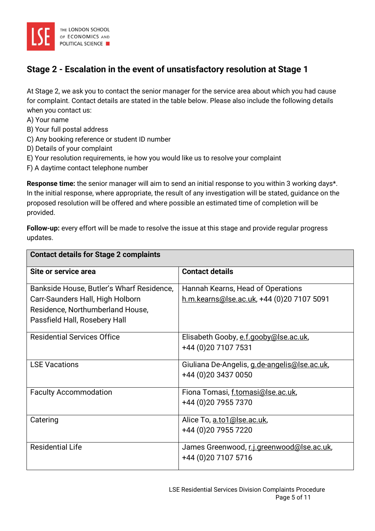

# **Stage 2 - Escalation in the event of unsatisfactory resolution at Stage 1**

At Stage 2, we ask you to contact the senior manager for the service area about which you had cause for complaint. Contact details are stated in the table below. Please also include the following details when you contact us:

- A) Your name
- B) Your full postal address
- C) Any booking reference or student ID number
- D) Details of your complaint
- E) Your resolution requirements, ie how you would like us to resolve your complaint
- F) A daytime contact telephone number

**Response time:** the senior manager will aim to send an initial response to you within 3 working days\*. In the initial response, where appropriate, the result of any investigation will be stated, guidance on the proposed resolution will be offered and where possible an estimated time of completion will be provided.

**Follow-up:** every effort will be made to resolve the issue at this stage and provide regular progress updates.

| <b>Contact details for Stage 2 complaints</b> |                                              |
|-----------------------------------------------|----------------------------------------------|
| Site or service area                          | <b>Contact details</b>                       |
| Bankside House, Butler's Wharf Residence,     | Hannah Kearns, Head of Operations            |
| Carr-Saunders Hall, High Holborn              | h.m.kearns@lse.ac.uk, +44 (0)20 7107 5091    |
| Residence, Northumberland House,              |                                              |
| Passfield Hall, Rosebery Hall                 |                                              |
| <b>Residential Services Office</b>            | Elisabeth Gooby, e.f.gooby@lse.ac.uk,        |
|                                               | +44 (0) 20 7107 7531                         |
| <b>LSE Vacations</b>                          | Giuliana De-Angelis, g.de-angelis@lse.ac.uk, |
|                                               | +44 (0) 20 3437 0050                         |
| <b>Faculty Accommodation</b>                  | Fiona Tomasi, f.tomasi@lse.ac.uk,            |
|                                               | +44 (0) 20 7955 7370                         |
| Catering                                      | Alice To, a.to1@lse.ac.uk,                   |
|                                               | +44 (0) 20 7955 7220                         |
| <b>Residential Life</b>                       | James Greenwood, r.j.greenwood@lse.ac.uk,    |
|                                               | +44 (0) 20 7107 5716                         |
|                                               |                                              |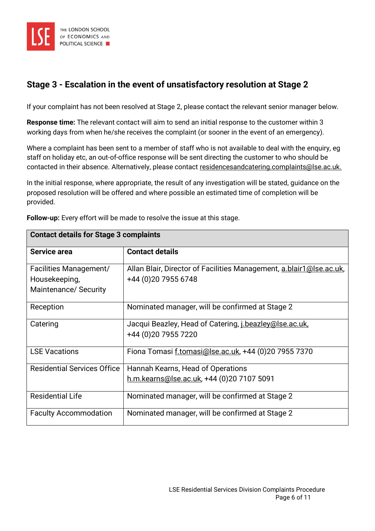

# **Stage 3 - Escalation in the event of unsatisfactory resolution at Stage 2**

If your complaint has not been resolved at Stage 2, please contact the relevant senior manager below.

**Response time:** The relevant contact will aim to send an initial response to the customer within 3 working days from when he/she receives the complaint (or sooner in the event of an emergency).

Where a complaint has been sent to a member of staff who is not available to deal with the enquiry, eg staff on holiday etc, an out-of-office response will be sent directing the customer to who should be contacted in their absence. Alternatively, please contact [residencesandcatering.complaints@lse.ac.uk.](mailto:residencesandcatering.complaints@lse.ac.uk)

In the initial response, where appropriate, the result of any investigation will be stated, guidance on the proposed resolution will be offered and where possible an estimated time of completion will be provided.

| <b>Contact details for Stage 3 complaints</b> |                                                                     |  |
|-----------------------------------------------|---------------------------------------------------------------------|--|
| Service area                                  | <b>Contact details</b>                                              |  |
| Facilities Management/                        | Allan Blair, Director of Facilities Management, a.blair1@lse.ac.uk, |  |
| Housekeeping,                                 | +44 (0) 20 7955 6748                                                |  |
| Maintenance/ Security                         |                                                                     |  |
| Reception                                     | Nominated manager, will be confirmed at Stage 2                     |  |
| Catering                                      | Jacqui Beazley, Head of Catering, <i>i.beazley</i> @lse.ac.uk.      |  |
|                                               | +44 (0) 20 7955 7220                                                |  |
| <b>LSE Vacations</b>                          | Fiona Tomasi f.tomasi@lse.ac.uk, +44 (0)20 7955 7370                |  |
| <b>Residential Services Office</b>            | Hannah Kearns, Head of Operations                                   |  |
|                                               | h.m.kearns@lse.ac.uk, +44 (0)20 7107 5091                           |  |
| <b>Residential Life</b>                       | Nominated manager, will be confirmed at Stage 2                     |  |
| <b>Faculty Accommodation</b>                  | Nominated manager, will be confirmed at Stage 2                     |  |

**Follow-up:** Every effort will be made to resolve the issue at this stage.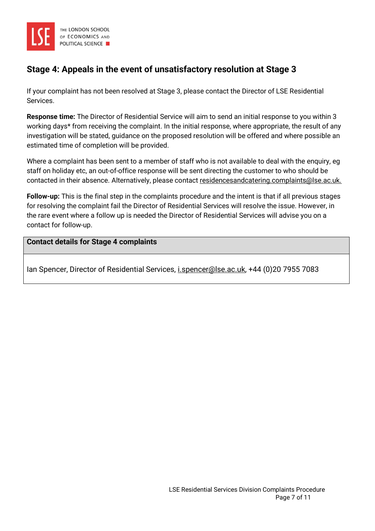

# **Stage 4: Appeals in the event of unsatisfactory resolution at Stage 3**

If your complaint has not been resolved at Stage 3, please contact the Director of LSE Residential Services.

**Response time:** The Director of Residential Service will aim to send an initial response to you within 3 working days\* from receiving the complaint. In the initial response, where appropriate, the result of any investigation will be stated, guidance on the proposed resolution will be offered and where possible an estimated time of completion will be provided.

Where a complaint has been sent to a member of staff who is not available to deal with the enquiry, eg staff on holiday etc, an out-of-office response will be sent directing the customer to who should be contacted in their absence. Alternatively, please contact residencesandcatering.complaints@lse.ac.uk.

**Follow-up:** This is the final step in the complaints procedure and the intent is that if all previous stages for resolving the complaint fail the Director of Residential Services will resolve the issue. However, in the rare event where a follow up is needed the Director of Residential Services will advise you on a contact for follow-up.

#### **Contact details for Stage 4 complaints**

Ian Spencer, Director of Residential Services, [i.spencer@lse.ac.uk,](mailto:i.spencer@lse.ac.uk) +44 (0)20 7955 7083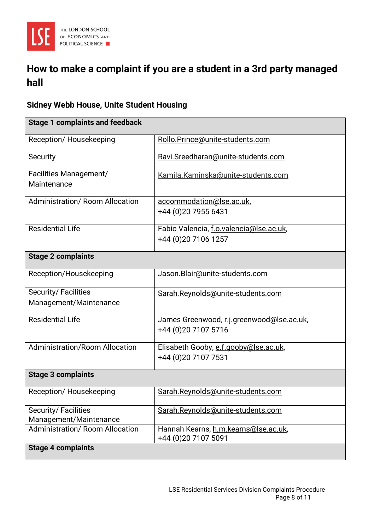

# **How to make a complaint if you are a student in a 3rd party managed hall**

# **Sidney Webb House, Unite Student Housing**

| <b>Stage 1 complaints and feedback</b> |                                           |
|----------------------------------------|-------------------------------------------|
|                                        |                                           |
| Reception/Housekeeping                 | Rollo.Prince@unite-students.com           |
| Security                               | Ravi.Sreedharan@unite-students.com        |
| Facilities Management/                 | Kamila.Kaminska@unite-students.com        |
| Maintenance                            |                                           |
| Administration/ Room Allocation        | accommodation@lse.ac.uk,                  |
|                                        | +44 (0) 20 7955 6431                      |
| <b>Residential Life</b>                | Fabio Valencia, f.o.valencia@lse.ac.uk,   |
|                                        | +44 (0) 20 7106 1257                      |
| <b>Stage 2 complaints</b>              |                                           |
| Reception/Housekeeping                 | Jason. Blair@unite-students.com           |
| Security/Facilities                    | Sarah.Reynolds@unite-students.com         |
| Management/Maintenance                 |                                           |
| <b>Residential Life</b>                | James Greenwood, r.j.greenwood@lse.ac.uk, |
|                                        | +44 (0) 20 7107 5716                      |
| <b>Administration/Room Allocation</b>  | Elisabeth Gooby, e.f.gooby@lse.ac.uk,     |
|                                        | +44 (0) 20 7107 7531                      |
| <b>Stage 3 complaints</b>              |                                           |
| Reception/Housekeeping                 | Sarah.Reynolds@unite-students.com         |
| Security/Facilities                    | Sarah.Reynolds@unite-students.com         |
| Management/Maintenance                 |                                           |
| <b>Administration/ Room Allocation</b> | Hannah Kearns, h.m. kearns@lse.ac.uk,     |
| <b>Stage 4 complaints</b>              | +44 (0) 20 7107 5091                      |
|                                        |                                           |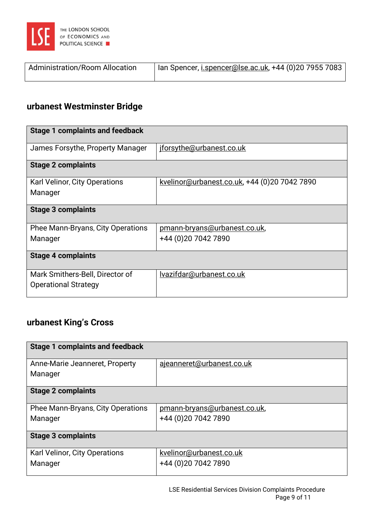

| Administration/Room Allocation | Ian Spencer, i.spencer@lse.ac.uk, +44 (0)20 7955 7083 |
|--------------------------------|-------------------------------------------------------|
|                                |                                                       |

# **urbanest Westminster Bridge**

| <b>Stage 1 complaints and feedback</b> |                                              |
|----------------------------------------|----------------------------------------------|
| James Forsythe, Property Manager       | jforsythe@urbanest.co.uk                     |
| <b>Stage 2 complaints</b>              |                                              |
| Karl Velinor, City Operations          | kvelinor@urbanest.co.uk, +44 (0)20 7042 7890 |
| Manager                                |                                              |
| <b>Stage 3 complaints</b>              |                                              |
| Phee Mann-Bryans, City Operations      | <u>pmann-bryans@urbanest.co.uk</u>           |
| Manager                                | +44 (0) 20 7042 7890                         |
| <b>Stage 4 complaints</b>              |                                              |
| Mark Smithers-Bell, Director of        | Ivazifdar@urbanest.co.uk                     |
| <b>Operational Strategy</b>            |                                              |

# **urbanest King's Cross**

| <b>Stage 1 complaints and feedback</b> |                              |
|----------------------------------------|------------------------------|
| Anne-Marie Jeanneret, Property         | ajeanneret@urbanest.co.uk    |
| Manager                                |                              |
| <b>Stage 2 complaints</b>              |                              |
| Phee Mann-Bryans, City Operations      | pmann-bryans@urbanest.co.uk, |
| Manager                                | +44 (0) 20 7042 7890         |
| <b>Stage 3 complaints</b>              |                              |
| <b>Karl Velinor, City Operations</b>   | kvelinor@urbanest.co.uk      |
| Manager                                | +44 (0) 20 7042 7890         |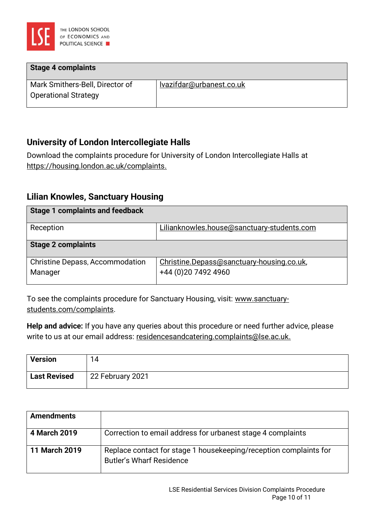

| <b>Stage 4 complaints</b>                                      |                          |
|----------------------------------------------------------------|--------------------------|
| Mark Smithers-Bell, Director of<br><b>Operational Strategy</b> | lvazifdar@urbanest.co.uk |

#### **University of London Intercollegiate Halls**

Download the complaints procedure for University of London Intercollegiate Halls at [https://housing.london.ac.uk/complaints.](https://housing.london.ac.uk/complaints)

#### **Lilian Knowles, Sanctuary Housing**

| <b>Stage 1 complaints and feedback</b>            |                                                                   |
|---------------------------------------------------|-------------------------------------------------------------------|
| Reception                                         | Lilianknowles.house@sanctuary-students.com                        |
| <b>Stage 2 complaints</b>                         |                                                                   |
| <b>Christine Depass, Accommodation</b><br>Manager | Christine.Depass@sanctuary-housing.co.uk,<br>+44 (0) 20 7492 4960 |

To see the complaints procedure for Sanctuary Housing, visit: [www.sanctuary](https://www.sanctuary-students.com/complaints)[students.com/complaints.](https://www.sanctuary-students.com/complaints)

**Help and advice:** If you have any queries about this procedure or need further advice, please write to us at our email address: [residencesandcatering.complaints@lse.ac.uk.](mailto:residencesandcatering.complaints@lse.ac.uk)

| <b>Version</b>      | $\overline{4}$   |
|---------------------|------------------|
| <b>Last Revised</b> | 22 February 2021 |

| <b>Amendments</b>   |                                                                                                       |
|---------------------|-------------------------------------------------------------------------------------------------------|
| <b>4 March 2019</b> | Correction to email address for urbanest stage 4 complaints                                           |
| 11 March 2019       | Replace contact for stage 1 house keeping/reception complaints for<br><b>Butler's Wharf Residence</b> |